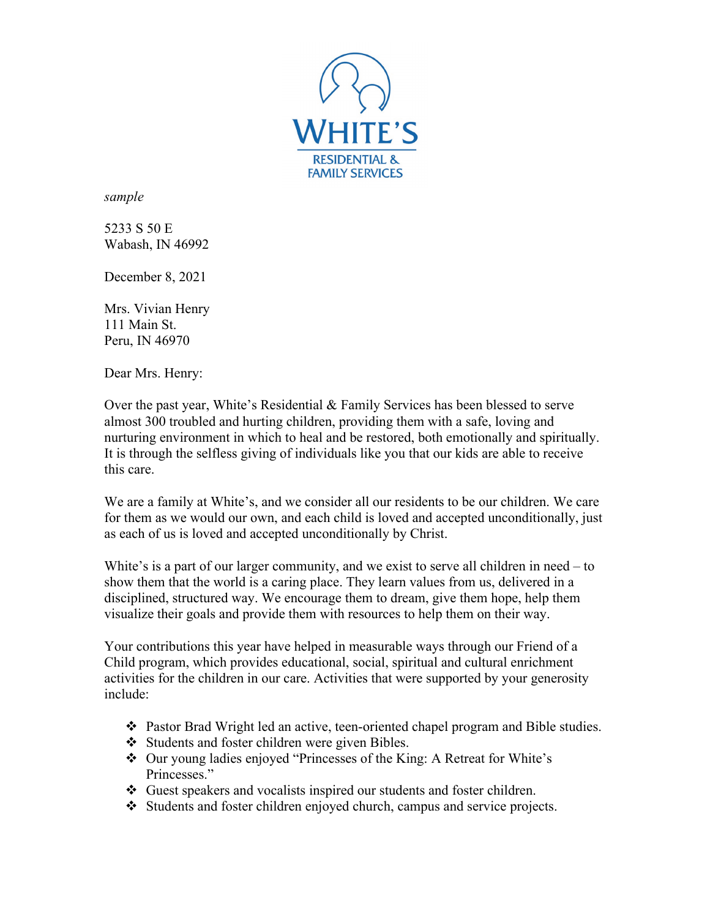

*sample*

5233 S 50 E Wabash, IN 46992

December 8, 2021

Mrs. Vivian Henry 111 Main St. Peru, IN 46970

Dear Mrs. Henry:

Over the past year, White's Residential & Family Services has been blessed to serve almost 300 troubled and hurting children, providing them with a safe, loving and nurturing environment in which to heal and be restored, both emotionally and spiritually. It is through the selfless giving of individuals like you that our kids are able to receive this care.

We are a family at White's, and we consider all our residents to be our children. We care for them as we would our own, and each child is loved and accepted unconditionally, just as each of us is loved and accepted unconditionally by Christ.

White's is a part of our larger community, and we exist to serve all children in need – to show them that the world is a caring place. They learn values from us, delivered in a disciplined, structured way. We encourage them to dream, give them hope, help them visualize their goals and provide them with resources to help them on their way.

Your contributions this year have helped in measurable ways through our Friend of a Child program, which provides educational, social, spiritual and cultural enrichment activities for the children in our care. Activities that were supported by your generosity include:

- Pastor Brad Wright led an active, teen-oriented chapel program and Bible studies.
- Students and foster children were given Bibles.
- Our young ladies enjoyed "Princesses of the King: A Retreat for White's Princesses."
- Guest speakers and vocalists inspired our students and foster children.
- Students and foster children enjoyed church, campus and service projects.